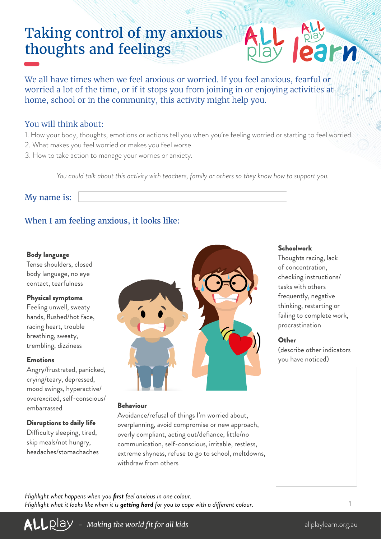# Taking control of my anxious thoughts and feelings

We all have times when we feel anxious or worried. If you feel anxious, fearful or worried a lot of the time, or if it stops you from joining in or enjoying activities at home, school or in the community, this activity might help you.

## You will think about:

- 1. How your body, thoughts, emotions or actions tell you when you're feeling worried or starting to feel worried.
- 2. What makes you feel worried or makes you feel worse.
- 3. How to take action to manage your worries or anxiety.

*You could talk about this activity with teachers, family or others so they know how to support you.*

### My name is:

# When I am feeling anxious, it looks like:

#### Body language

Tense shoulders, closed body language, no eye contact, tearfulness

#### Physical symptoms

Feeling unwell, sweaty hands, flushed/hot face, racing heart, trouble breathing, sweaty, trembling, dizziness

#### Emotions

Angry/frustrated, panicked, crying/teary, depressed, mood swings, hyperactive/ overexcited, self-conscious/ embarrassed

#### Disruptions to daily life

Difficulty sleeping, tired, skip meals/not hungry, headaches/stomachaches



#### Behaviour

Avoidance/refusal of things I'm worried about, overplanning, avoid compromise or new approach, overly compliant, acting out/defiance, little/no communication, self-conscious, irritable, restless, extreme shyness, refuse to go to school, meltdowns, withdraw from others

#### Schoolwork

Thoughts racing, lack of concentration, checking instructions/ tasks with others frequently, negative thinking, restarting or failing to complete work, procrastination

#### **Other**

(describe other indicators you have noticed)

*Highlight what happens when you first feel anxious in one colour. Highlight what it looks like when it is getting hard for you to cope with a different colour.*